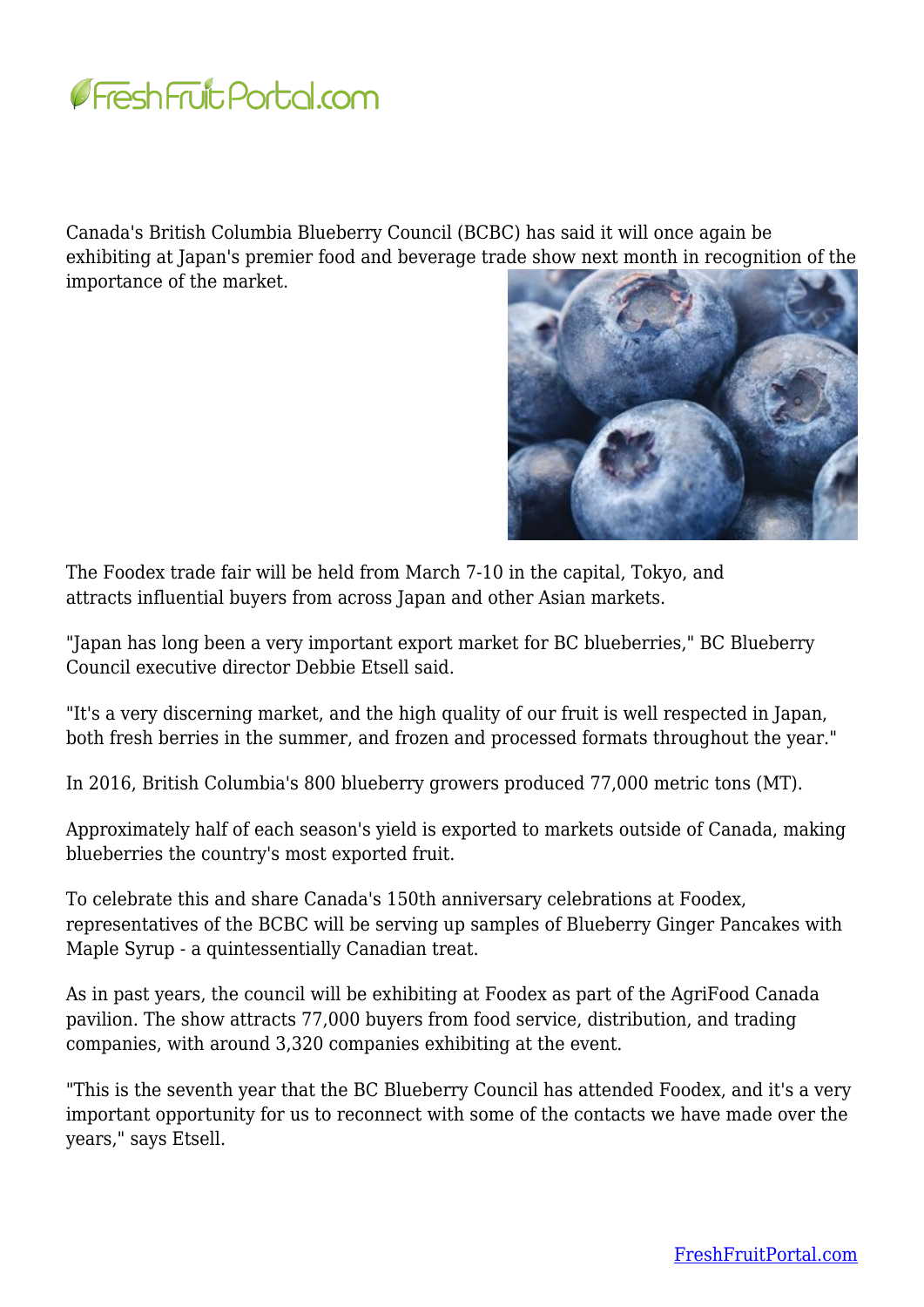

Canada's British Columbia Blueberry Council (BCBC) has said it will once again be exhibiting at Japan's premier food and beverage trade show next month in recognition of the importance of the market.



The Foodex trade fair will be held from March 7-10 in the capital, Tokyo, and attracts influential buyers from across Japan and other Asian markets.

"Japan has long been a very important export market for BC blueberries," BC Blueberry Council executive director Debbie Etsell said.

"It's a very discerning market, and the high quality of our fruit is well respected in Japan, both fresh berries in the summer, and frozen and processed formats throughout the year."

In 2016, British Columbia's 800 blueberry growers produced 77,000 metric tons (MT).

Approximately half of each season's yield is exported to markets outside of Canada, making blueberries the country's most exported fruit.

To celebrate this and share Canada's 150th anniversary celebrations at Foodex, representatives of the BCBC will be serving up samples of Blueberry Ginger Pancakes with Maple Syrup - a quintessentially Canadian treat.

As in past years, the council will be exhibiting at Foodex as part of the AgriFood Canada pavilion. The show attracts 77,000 buyers from food service, distribution, and trading companies, with around 3,320 companies exhibiting at the event.

"This is the seventh year that the BC Blueberry Council has attended Foodex, and it's a very important opportunity for us to reconnect with some of the contacts we have made over the years," says Etsell.